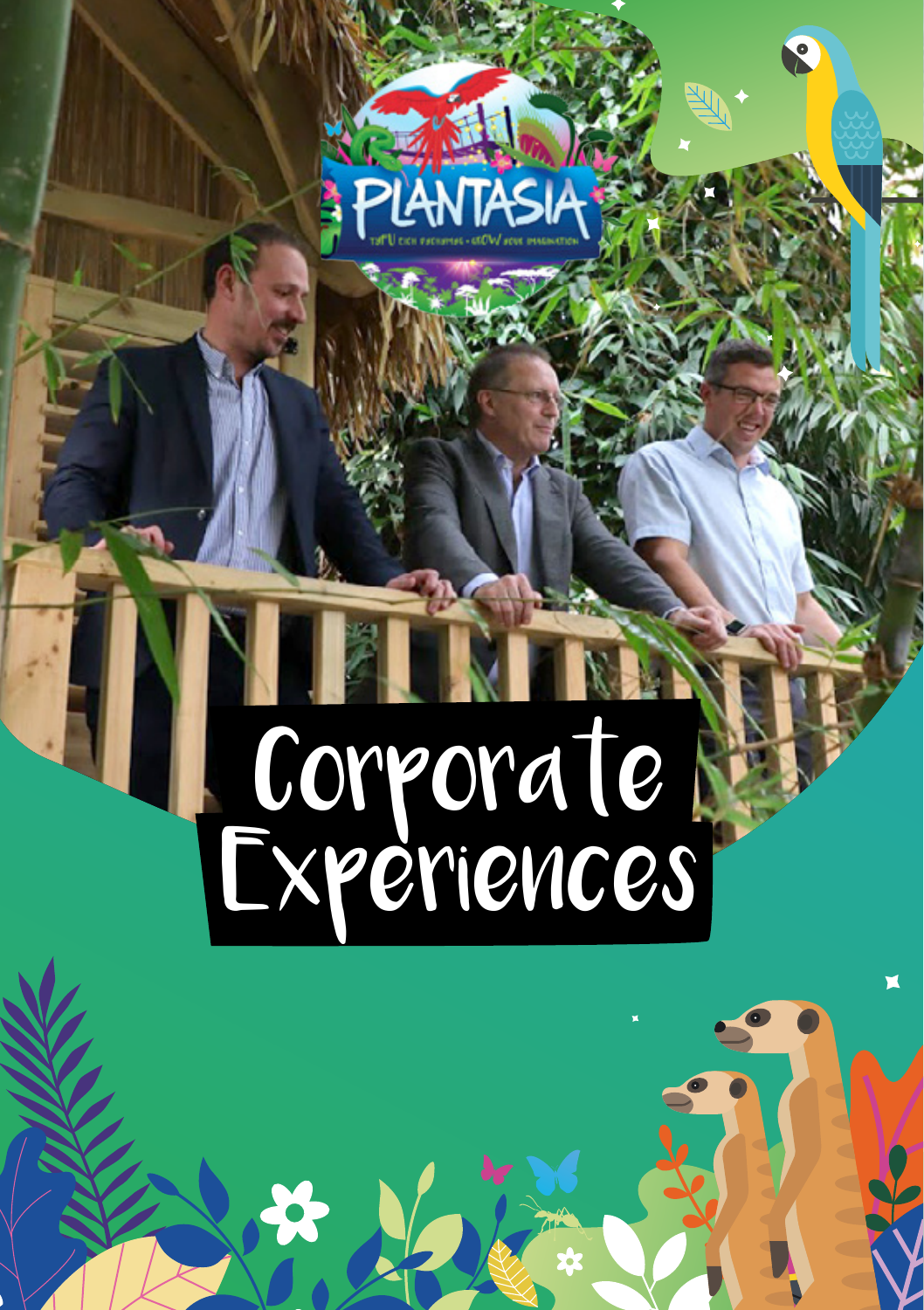

# Corporate Experiences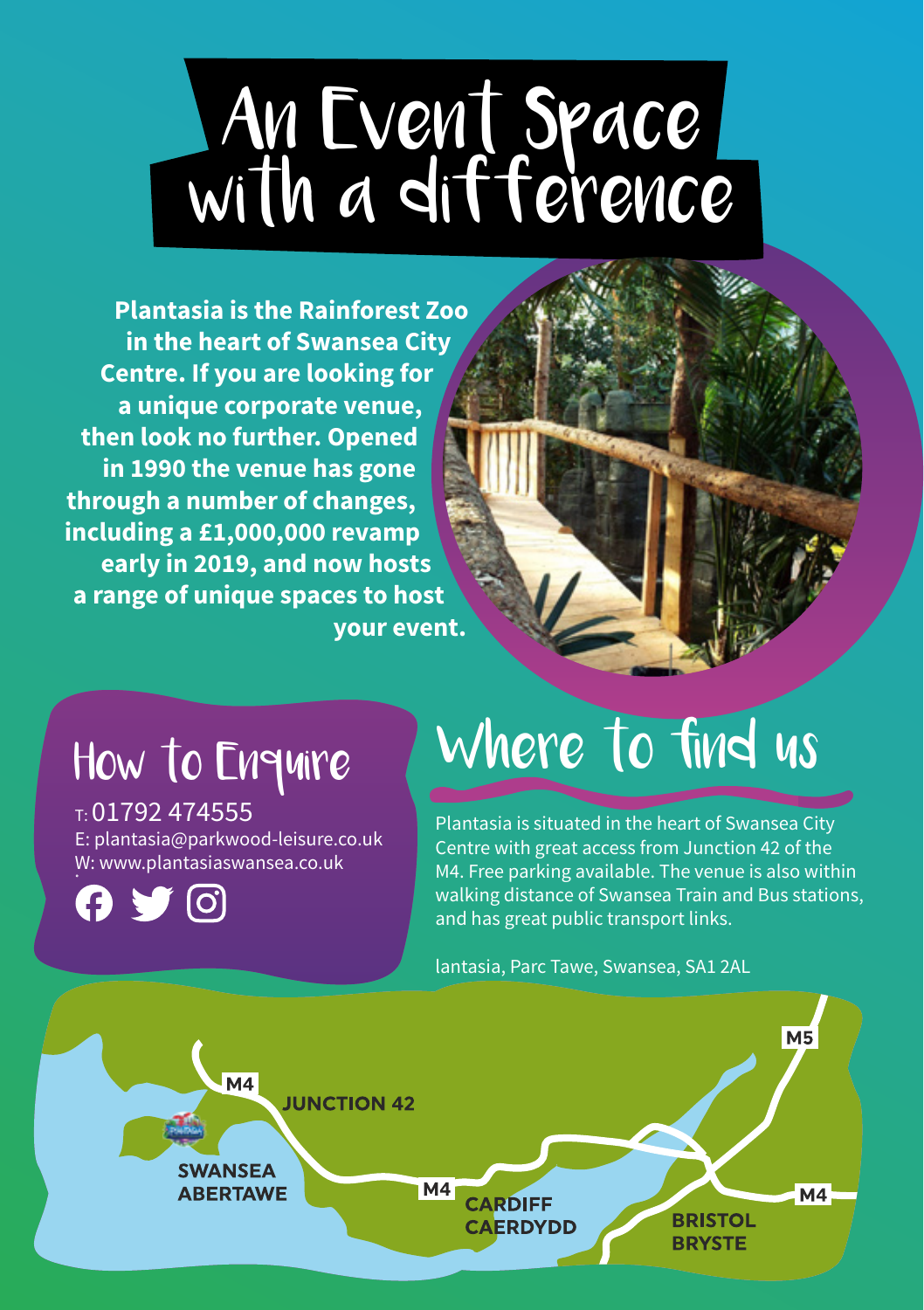# An Event Space with a difference

**Plantasia is the Rainforest Zoo in the heart of Swansea City Centre. If you are looking for a unique corporate venue, then look no further. Opened in 1990 the venue has gone through a number of changes, including a £1,000,000 revamp early in 2019, and now hosts a range of unique spaces to host your event.**

### How to Enquire

 $T: 01792$  474555 E: plantasia@parkwood-leisure.co.uk W: www.plantasiaswansea.co.uk



## Where to find us

Plantasia is situated in the heart of Swansea City Centre with great access from Junction 42 of the M4. Free parking available. The venue is also within walking distance of Swansea Train and Bus stations, and has great public transport links.

lantasia, Parc Tawe, Swansea, SA1 2AL

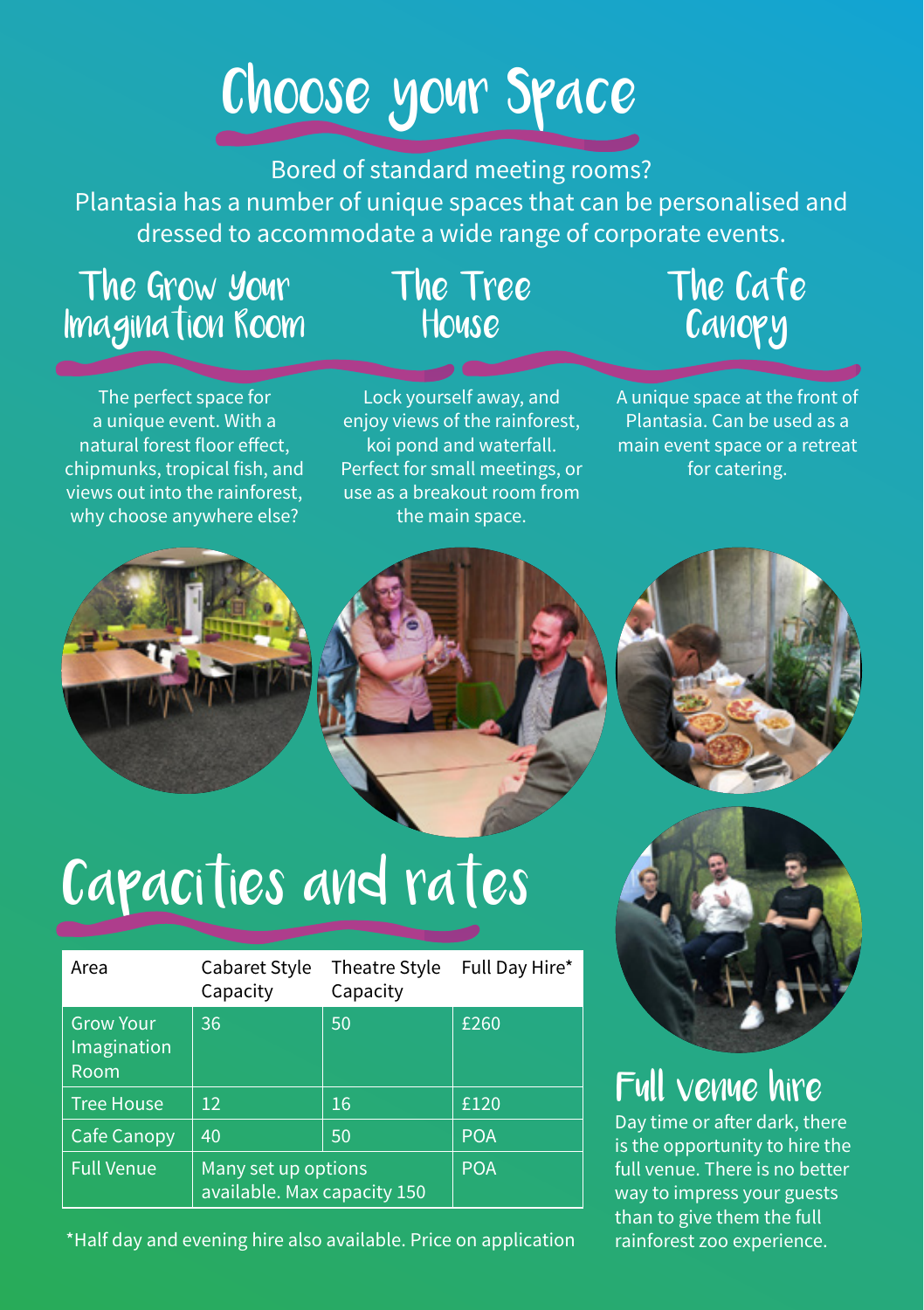## Choose your Space

#### Bored of standard meeting rooms?

Plantasia has a number of unique spaces that can be personalised and dressed to accommodate a wide range of corporate events.

#### The Grow Your Imagination Room

#### The Tree House

### The Cafe **Canopy**

The perfect space for a unique event. With a natural forest floor effect, chipmunks, tropical fish, and views out into the rainforest, why choose anywhere else?

Lock yourself away, and eniov views of the rainforest. koi pond and waterfall. Perfect for small meetings, or use as a breakout room from the main space.

A unique space at the front of Plantasia. Can be used as a main event space or a retreat for catering.







### Capacities and rates

| Area                                    | Cabaret Style<br>Capacity                          | <b>Theatre Style</b><br>Capacity | Full Day Hire* |
|-----------------------------------------|----------------------------------------------------|----------------------------------|----------------|
| <b>Grow Your</b><br>Imagination<br>Room | 36                                                 | 50                               | £260           |
| Tree House                              | $12 \overline{ }$                                  | 16                               | £120           |
| <b>Cafe Canopy</b>                      | 40                                                 | 50                               | <b>POA</b>     |
| <b>Full Venue</b>                       | Many set up options<br>available. Max capacity 150 |                                  | <b>POA</b>     |

\*Half day and evening hire also available. Price on application



### Full venue hire

Day time or after dark, there is the opportunity to hire the full venue. There is no better way to impress your guests than to give them the full rainforest zoo experience.